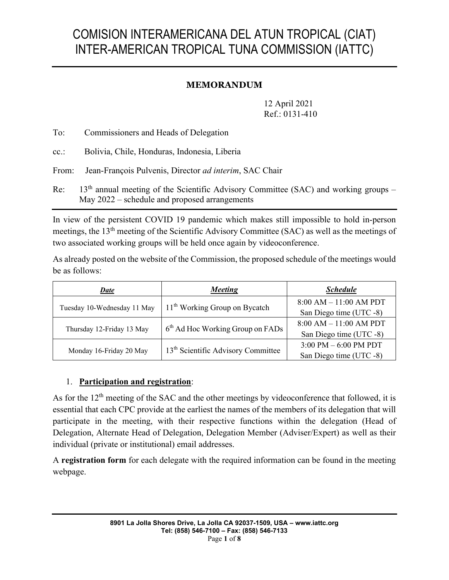# COMISION INTERAMERICANA DEL ATUN TROPICAL (CIAT) INTER-AMERICAN TROPICAL TUNA COMMISSION (IATTC)

## **MEMORANDUM**

12 April 2021 Ref.: 0131-410

To: Commissioners and Heads of Delegation

cc.: Bolivia, Chile, Honduras, Indonesia, Liberia

From: Jean-François Pulvenis, Director *ad interim*, SAC Chair

Re:  $13<sup>th</sup>$  annual meeting of the Scientific Advisory Committee (SAC) and working groups – May 2022 – schedule and proposed arrangements

In view of the persistent COVID 19 pandemic which makes still impossible to hold in-person meetings, the 13th meeting of the Scientific Advisory Committee (SAC) as well as the meetings of two associated working groups will be held once again by videoconference.

As already posted on the website of the Commission, the proposed schedule of the meetings would be as follows:

| <u>Date</u>                 | <b>Meeting</b>                                 | <b>Schedule</b>                         |
|-----------------------------|------------------------------------------------|-----------------------------------------|
| Tuesday 10-Wednesday 11 May | $11th$ Working Group on Bycatch                | $8:00 AM - 11:00 AM PDT$                |
|                             |                                                | San Diego time (UTC -8)                 |
|                             | 6 <sup>th</sup> Ad Hoc Working Group on FADs   | $8:00$ AM $-11:00$ AM PDT               |
| Thursday 12-Friday 13 May   |                                                | San Diego time (UTC -8)                 |
|                             | 13 <sup>th</sup> Scientific Advisory Committee | $3:00 \text{ PM} - 6:00 \text{ PM PDT}$ |
| Monday 16-Friday 20 May     |                                                | San Diego time (UTC -8)                 |

#### 1. **Participation and registration**:

As for the 12<sup>th</sup> meeting of the SAC and the other meetings by videoconference that followed, it is essential that each CPC provide at the earliest the names of the members of its delegation that will participate in the meeting, with their respective functions within the delegation (Head of Delegation, Alternate Head of Delegation, Delegation Member (Adviser/Expert) as well as their individual (private or institutional) email addresses.

A **registration form** for each delegate with the required information can be found in the meeting webpage.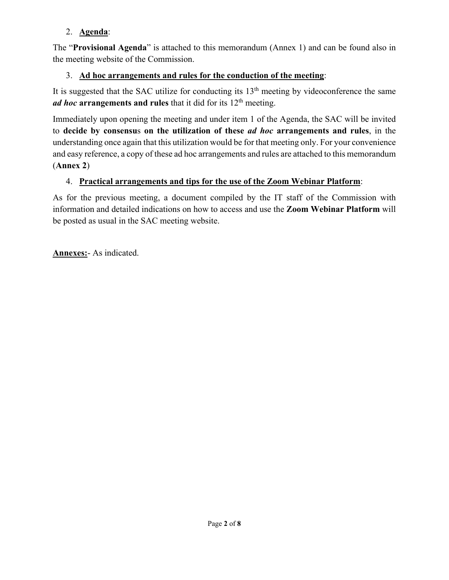## 2. **Agenda**:

The "**Provisional Agenda**" is attached to this memorandum (Annex 1) and can be found also in the meeting website of the Commission.

## 3. **Ad hoc arrangements and rules for the conduction of the meeting**:

It is suggested that the SAC utilize for conducting its  $13<sup>th</sup>$  meeting by videoconference the same *ad hoc* arrangements and rules that it did for its 12<sup>th</sup> meeting.

Immediately upon opening the meeting and under item 1 of the Agenda, the SAC will be invited to **decide by consensu**s **on the utilization of these** *ad hoc* **arrangements and rules**, in the understanding once again that this utilization would be for that meeting only. For your convenience and easy reference, a copy of these ad hoc arrangements and rules are attached to this memorandum (**Annex 2**)

## 4. **Practical arrangements and tips for the use of the Zoom Webinar Platform**:

As for the previous meeting, a document compiled by the IT staff of the Commission with information and detailed indications on how to access and use the **Zoom Webinar Platform** will be posted as usual in the SAC meeting website.

**Annexes:**- As indicated.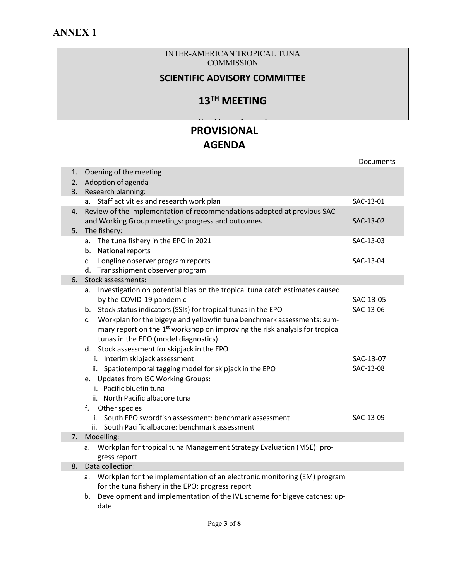#### INTER-AMERICAN TROPICAL TUNA **COMMISSION**

## **SCIENTIFIC ADVISORY COMMITTEE**

## **13TH MEETING**

#### **PROVISIONAL AGENDA (***b id f* **)**

|    |                                                                                          | Documents |
|----|------------------------------------------------------------------------------------------|-----------|
| 1. | Opening of the meeting                                                                   |           |
| 2. | Adoption of agenda                                                                       |           |
| 3. | Research planning:                                                                       |           |
|    | a. Staff activities and research work plan                                               | SAC-13-01 |
| 4. | Review of the implementation of recommendations adopted at previous SAC                  |           |
|    | and Working Group meetings: progress and outcomes                                        | SAC-13-02 |
| 5. | The fishery:                                                                             |           |
|    | a. The tuna fishery in the EPO in 2021                                                   | SAC-13-03 |
|    | b. National reports                                                                      |           |
|    | c. Longline observer program reports                                                     | SAC-13-04 |
|    | d. Transshipment observer program                                                        |           |
| 6. | Stock assessments:                                                                       |           |
|    | a. Investigation on potential bias on the tropical tuna catch estimates caused           |           |
|    | by the COVID-19 pandemic                                                                 | SAC-13-05 |
|    | b. Stock status indicators (SSIs) for tropical tunas in the EPO                          | SAC-13-06 |
|    | Workplan for the bigeye and yellowfin tuna benchmark assessments: sum-<br>$\mathsf{C}$ . |           |
|    | mary report on the 1 <sup>st</sup> workshop on improving the risk analysis for tropical  |           |
|    | tunas in the EPO (model diagnostics)                                                     |           |
|    | d. Stock assessment for skipjack in the EPO                                              |           |
|    | i. Interim skipjack assessment                                                           | SAC-13-07 |
|    | ii. Spatiotemporal tagging model for skipjack in the EPO                                 | SAC-13-08 |
|    | e. Updates from ISC Working Groups:                                                      |           |
|    | i. Pacific bluefin tuna                                                                  |           |
|    | ii. North Pacific albacore tuna                                                          |           |
|    | f. Other species                                                                         |           |
|    | i. South EPO swordfish assessment: benchmark assessment                                  | SAC-13-09 |
|    | ii. South Pacific albacore: benchmark assessment                                         |           |
| 7. | Modelling:                                                                               |           |
|    | a. Workplan for tropical tuna Management Strategy Evaluation (MSE): pro-                 |           |
|    | gress report                                                                             |           |
| 8. | Data collection:                                                                         |           |
|    | a. Workplan for the implementation of an electronic monitoring (EM) program              |           |
|    | for the tuna fishery in the EPO: progress report                                         |           |
|    | Development and implementation of the IVL scheme for bigeye catches: up-<br>b.           |           |
|    | date                                                                                     |           |
|    |                                                                                          |           |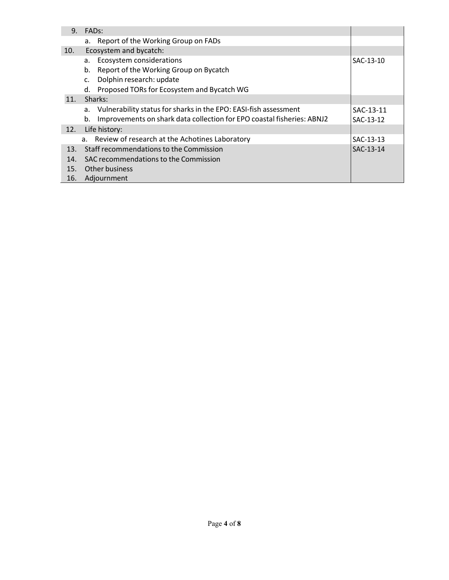| 9.  | FAD <sub>s</sub> :                                                           |           |
|-----|------------------------------------------------------------------------------|-----------|
|     | a. Report of the Working Group on FADs                                       |           |
| 10. | Ecosystem and bycatch:                                                       |           |
|     | Ecosystem considerations<br>a.                                               | SAC-13-10 |
|     | Report of the Working Group on Bycatch<br>b.                                 |           |
|     | Dolphin research: update<br>c.                                               |           |
|     | Proposed TORs for Ecosystem and Bycatch WG<br>d.                             |           |
| 11. | Sharks:                                                                      |           |
|     | Vulnerability status for sharks in the EPO: EASI-fish assessment<br>а.       | SAC-13-11 |
|     | Improvements on shark data collection for EPO coastal fisheries: ABNJ2<br>b. | SAC-13-12 |
| 12. | Life history:                                                                |           |
|     | a. Review of research at the Achotines Laboratory                            | SAC-13-13 |
| 13. | Staff recommendations to the Commission                                      | SAC-13-14 |
| 14. | SAC recommendations to the Commission                                        |           |
| 15. | Other business                                                               |           |
| 16. | Adjournment                                                                  |           |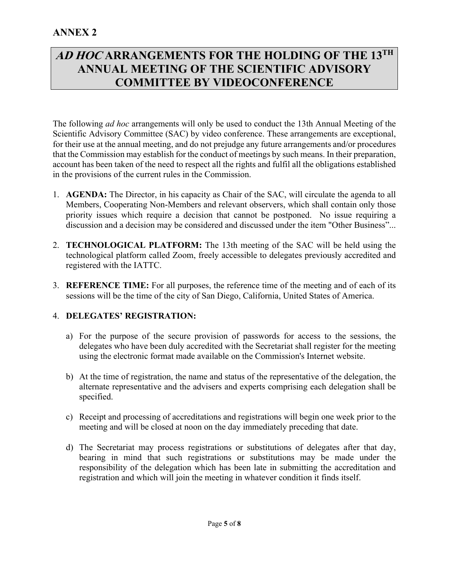## **AD HOC ARRANGEMENTS FOR THE HOLDING OF THE 13TH ANNUAL MEETING OF THE SCIENTIFIC ADVISORY COMMITTEE BY VIDEOCONFERENCE**

The following *ad hoc* arrangements will only be used to conduct the 13th Annual Meeting of the Scientific Advisory Committee (SAC) by video conference. These arrangements are exceptional, for their use at the annual meeting, and do not prejudge any future arrangements and/or procedures that the Commission may establish for the conduct of meetings by such means. In their preparation, account has been taken of the need to respect all the rights and fulfil all the obligations established in the provisions of the current rules in the Commission.

- 1. **AGENDA:** The Director, in his capacity as Chair of the SAC, will circulate the agenda to all Members, Cooperating Non-Members and relevant observers, which shall contain only those priority issues which require a decision that cannot be postponed. No issue requiring a discussion and a decision may be considered and discussed under the item "Other Business"...
- 2. **TECHNOLOGICAL PLATFORM:** The 13th meeting of the SAC will be held using the technological platform called Zoom, freely accessible to delegates previously accredited and registered with the IATTC.
- 3. **REFERENCE TIME:** For all purposes, the reference time of the meeting and of each of its sessions will be the time of the city of San Diego, California, United States of America.

## 4. **DELEGATES' REGISTRATION:**

- a) For the purpose of the secure provision of passwords for access to the sessions, the delegates who have been duly accredited with the Secretariat shall register for the meeting using the electronic format made available on the Commission's Internet website.
- b) At the time of registration, the name and status of the representative of the delegation, the alternate representative and the advisers and experts comprising each delegation shall be specified.
- c) Receipt and processing of accreditations and registrations will begin one week prior to the meeting and will be closed at noon on the day immediately preceding that date.
- d) The Secretariat may process registrations or substitutions of delegates after that day, bearing in mind that such registrations or substitutions may be made under the responsibility of the delegation which has been late in submitting the accreditation and registration and which will join the meeting in whatever condition it finds itself.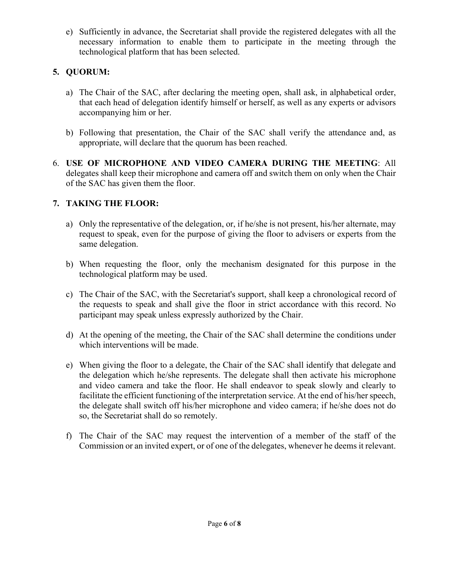e) Sufficiently in advance, the Secretariat shall provide the registered delegates with all the necessary information to enable them to participate in the meeting through the technological platform that has been selected.

## **5. QUORUM:**

- a) The Chair of the SAC, after declaring the meeting open, shall ask, in alphabetical order, that each head of delegation identify himself or herself, as well as any experts or advisors accompanying him or her.
- b) Following that presentation, the Chair of the SAC shall verify the attendance and, as appropriate, will declare that the quorum has been reached.
- 6. **USE OF MICROPHONE AND VIDEO CAMERA DURING THE MEETING**: All delegates shall keep their microphone and camera off and switch them on only when the Chair of the SAC has given them the floor.

## **7. TAKING THE FLOOR:**

- a) Only the representative of the delegation, or, if he/she is not present, his/her alternate, may request to speak, even for the purpose of giving the floor to advisers or experts from the same delegation.
- b) When requesting the floor, only the mechanism designated for this purpose in the technological platform may be used.
- c) The Chair of the SAC, with the Secretariat's support, shall keep a chronological record of the requests to speak and shall give the floor in strict accordance with this record. No participant may speak unless expressly authorized by the Chair.
- d) At the opening of the meeting, the Chair of the SAC shall determine the conditions under which interventions will be made.
- e) When giving the floor to a delegate, the Chair of the SAC shall identify that delegate and the delegation which he/she represents. The delegate shall then activate his microphone and video camera and take the floor. He shall endeavor to speak slowly and clearly to facilitate the efficient functioning of the interpretation service. At the end of his/her speech, the delegate shall switch off his/her microphone and video camera; if he/she does not do so, the Secretariat shall do so remotely.
- f) The Chair of the SAC may request the intervention of a member of the staff of the Commission or an invited expert, or of one of the delegates, whenever he deems it relevant.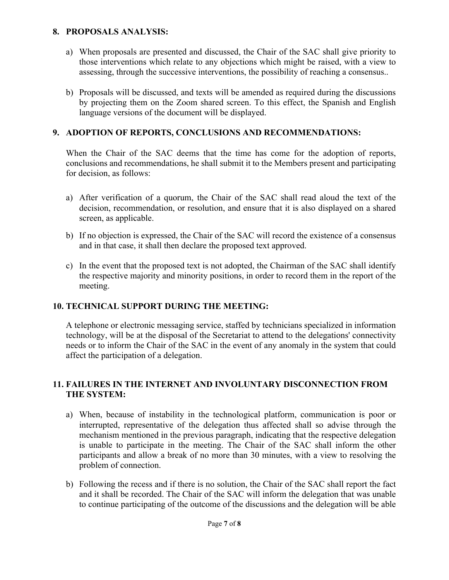### **8. PROPOSALS ANALYSIS:**

- a) When proposals are presented and discussed, the Chair of the SAC shall give priority to those interventions which relate to any objections which might be raised, with a view to assessing, through the successive interventions, the possibility of reaching a consensus..
- b) Proposals will be discussed, and texts will be amended as required during the discussions by projecting them on the Zoom shared screen. To this effect, the Spanish and English language versions of the document will be displayed.

## **9. ADOPTION OF REPORTS, CONCLUSIONS AND RECOMMENDATIONS:**

When the Chair of the SAC deems that the time has come for the adoption of reports, conclusions and recommendations, he shall submit it to the Members present and participating for decision, as follows:

- a) After verification of a quorum, the Chair of the SAC shall read aloud the text of the decision, recommendation, or resolution, and ensure that it is also displayed on a shared screen, as applicable.
- b) If no objection is expressed, the Chair of the SAC will record the existence of a consensus and in that case, it shall then declare the proposed text approved.
- c) In the event that the proposed text is not adopted, the Chairman of the SAC shall identify the respective majority and minority positions, in order to record them in the report of the meeting.

## **10. TECHNICAL SUPPORT DURING THE MEETING:**

A telephone or electronic messaging service, staffed by technicians specialized in information technology, will be at the disposal of the Secretariat to attend to the delegations' connectivity needs or to inform the Chair of the SAC in the event of any anomaly in the system that could affect the participation of a delegation.

### **11. FAILURES IN THE INTERNET AND INVOLUNTARY DISCONNECTION FROM THE SYSTEM:**

- a) When, because of instability in the technological platform, communication is poor or interrupted, representative of the delegation thus affected shall so advise through the mechanism mentioned in the previous paragraph, indicating that the respective delegation is unable to participate in the meeting. The Chair of the SAC shall inform the other participants and allow a break of no more than 30 minutes, with a view to resolving the problem of connection.
- b) Following the recess and if there is no solution, the Chair of the SAC shall report the fact and it shall be recorded. The Chair of the SAC will inform the delegation that was unable to continue participating of the outcome of the discussions and the delegation will be able